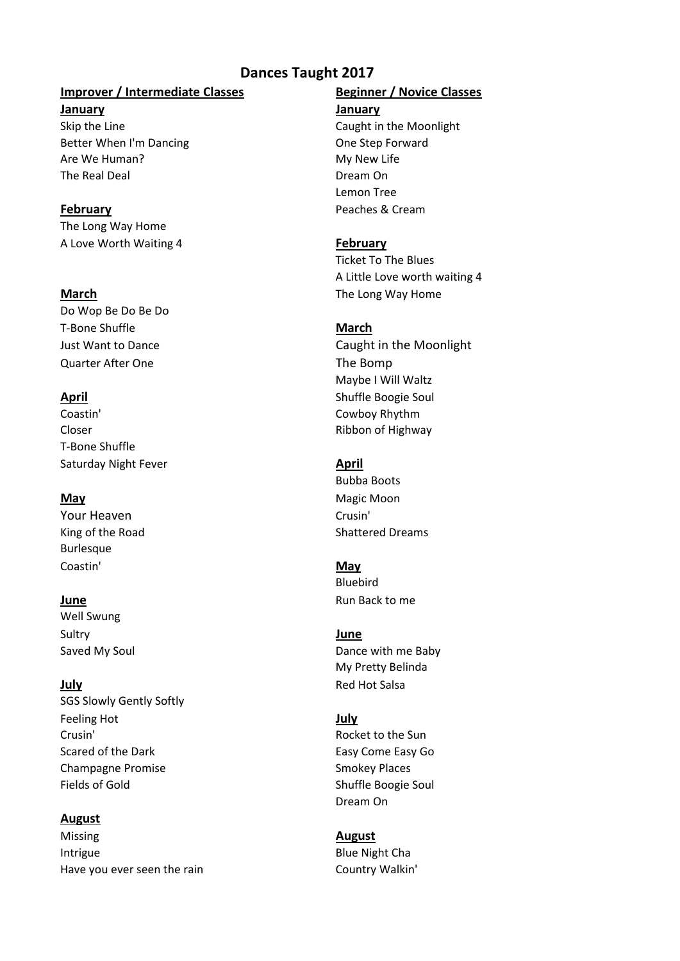# **Dances Taught 2017**

## **Improver / Intermediate Classes Beginner / Novice Classes**

**January January** Skip the Line Caught in the Moonlight Better When I'm Dancing **Canadian Cone Step Forward** Are We Human? The My New Life The Real Deal **Dream On** 

The Long Way Home

A Love Worth Waiting 4 **February**

Do Wop Be Do Be Do T-Bone Shuffle **March** Quarter After One The Bomp

Coastin' Cowboy Rhythm Closer **Ribbon of Highway** T-Bone Shuffle Saturday Night Fever **April April April** 

Your Heaven **Crusin' Crusin' Burlesque** Coastin' **May**

Well Swung Sultry **June**

SGS Slowly Gently Softly Feeling Hot **July** Crusin' Rocket to the Sun Scared of the Dark Easy Come Easy Go Champagne Promise Smokey Places Fields of Gold Shuffle Boogie Soul

### **August**

Missing **August** Intrigue **Blue Night Cha** Have you ever seen the rain Theorem Country Walkin'

Lemon Tree **February** Peaches & Cream

Ticket To The Blues A Little Love worth waiting 4 **March** The Long Way Home

Just Want to Dance Caught in the Moonlight Maybe I Will Waltz **April** Shuffle Boogie Soul

Bubba Boots **May** Magic Moon King of the Road Shattered Dreams

Bluebird **June** Run Back to me

Saved My Soul and Dance with me Baby My Pretty Belinda **July** Red Hot Salsa

Dream On